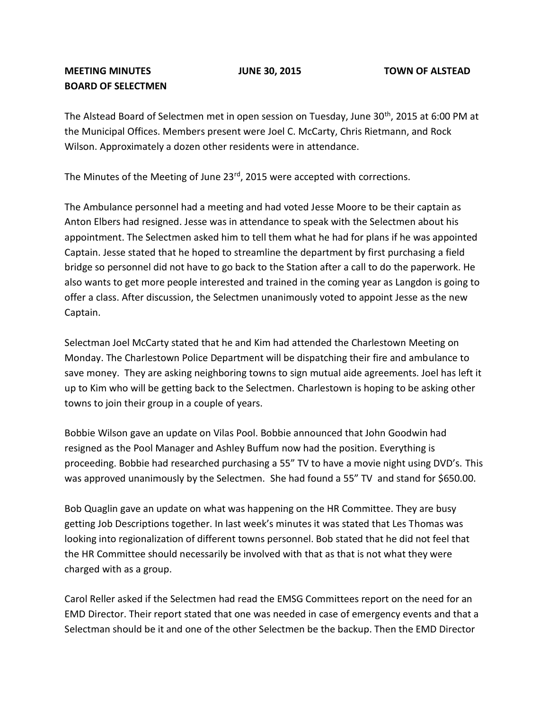## **MEETING MINUTES JUNE 30, 2015 TOWN OF ALSTEAD BOARD OF SELECTMEN**

The Alstead Board of Selectmen met in open session on Tuesday, June  $30<sup>th</sup>$ , 2015 at 6:00 PM at the Municipal Offices. Members present were Joel C. McCarty, Chris Rietmann, and Rock Wilson. Approximately a dozen other residents were in attendance.

The Minutes of the Meeting of June 23<sup>rd</sup>, 2015 were accepted with corrections.

The Ambulance personnel had a meeting and had voted Jesse Moore to be their captain as Anton Elbers had resigned. Jesse was in attendance to speak with the Selectmen about his appointment. The Selectmen asked him to tell them what he had for plans if he was appointed Captain. Jesse stated that he hoped to streamline the department by first purchasing a field bridge so personnel did not have to go back to the Station after a call to do the paperwork. He also wants to get more people interested and trained in the coming year as Langdon is going to offer a class. After discussion, the Selectmen unanimously voted to appoint Jesse as the new Captain.

Selectman Joel McCarty stated that he and Kim had attended the Charlestown Meeting on Monday. The Charlestown Police Department will be dispatching their fire and ambulance to save money. They are asking neighboring towns to sign mutual aide agreements. Joel has left it up to Kim who will be getting back to the Selectmen. Charlestown is hoping to be asking other towns to join their group in a couple of years.

Bobbie Wilson gave an update on Vilas Pool. Bobbie announced that John Goodwin had resigned as the Pool Manager and Ashley Buffum now had the position. Everything is proceeding. Bobbie had researched purchasing a 55" TV to have a movie night using DVD's. This was approved unanimously by the Selectmen. She had found a 55" TV and stand for \$650.00.

Bob Quaglin gave an update on what was happening on the HR Committee. They are busy getting Job Descriptions together. In last week's minutes it was stated that Les Thomas was looking into regionalization of different towns personnel. Bob stated that he did not feel that the HR Committee should necessarily be involved with that as that is not what they were charged with as a group.

Carol Reller asked if the Selectmen had read the EMSG Committees report on the need for an EMD Director. Their report stated that one was needed in case of emergency events and that a Selectman should be it and one of the other Selectmen be the backup. Then the EMD Director